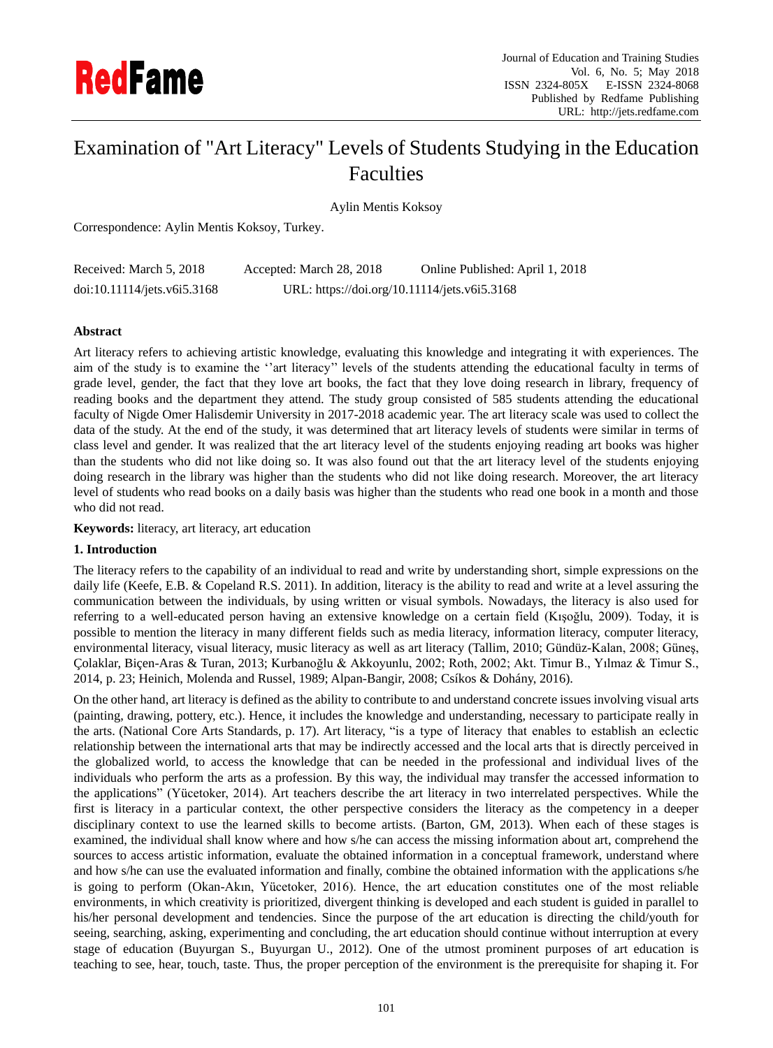

# Examination of "Art Literacy" Levels of Students Studying in the Education Faculties

Aylin Mentis Koksoy

Correspondence: Aylin Mentis Koksoy, Turkey.

| Received: March 5, 2018     | Accepted: March 28, 2018                     | Online Published: April 1, 2018 |
|-----------------------------|----------------------------------------------|---------------------------------|
| doi:10.11114/jets.v6i5.3168 | URL: https://doi.org/10.11114/jets.v6i5.3168 |                                 |

## **Abstract**

Art literacy refers to achieving artistic knowledge, evaluating this knowledge and integrating it with experiences. The aim of the study is to examine the ''art literacy'' levels of the students attending the educational faculty in terms of grade level, gender, the fact that they love art books, the fact that they love doing research in library, frequency of reading books and the department they attend. The study group consisted of 585 students attending the educational faculty of Nigde Omer Halisdemir University in 2017-2018 academic year. The art literacy scale was used to collect the data of the study. At the end of the study, it was determined that art literacy levels of students were similar in terms of class level and gender. It was realized that the art literacy level of the students enjoying reading art books was higher than the students who did not like doing so. It was also found out that the art literacy level of the students enjoying doing research in the library was higher than the students who did not like doing research. Moreover, the art literacy level of students who read books on a daily basis was higher than the students who read one book in a month and those who did not read.

**Keywords:** literacy, art literacy, art education

## **1. Introduction**

The literacy refers to the capability of an individual to read and write by understanding short, simple expressions on the daily life (Keefe, E.B. & Copeland R.S. 2011). In addition, literacy is the ability to read and write at a level assuring the communication between the individuals, by using written or visual symbols. Nowadays, the literacy is also used for referring to a well-educated person having an extensive knowledge on a certain field (Kışoğlu, 2009). Today, it is possible to mention the literacy in many different fields such as media literacy, information literacy, computer literacy, environmental literacy, visual literacy, music literacy as well as art literacy (Tallim, 2010; Gündüz-Kalan, 2008; Güneş, Çolaklar, Biçen-Aras & Turan, 2013; Kurbanoğlu & Akkoyunlu, 2002; Roth, 2002; Akt. Timur B., Yılmaz & Timur S., 2014, p. 23; Heinich, Molenda and Russel, 1989; Alpan-Bangir, 2008; Csíkos & Dohány, 2016).

On the other hand, art literacy is defined as the ability to contribute to and understand concrete issues involving visual arts (painting, drawing, pottery, etc.). Hence, it includes the knowledge and understanding, necessary to participate really in the arts. (National Core Arts Standards, p. 17). Art literacy, "is a type of literacy that enables to establish an eclectic relationship between the international arts that may be indirectly accessed and the local arts that is directly perceived in the globalized world, to access the knowledge that can be needed in the professional and individual lives of the individuals who perform the arts as a profession. By this way, the individual may transfer the accessed information to the applications" (Yücetoker, 2014). Art teachers describe the art literacy in two interrelated perspectives. While the first is literacy in a particular context, the other perspective considers the literacy as the competency in a deeper disciplinary context to use the learned skills to become artists. (Barton, GM, 2013). When each of these stages is examined, the individual shall know where and how s/he can access the missing information about art, comprehend the sources to access artistic information, evaluate the obtained information in a conceptual framework, understand where and how s/he can use the evaluated information and finally, combine the obtained information with the applications s/he is going to perform (Okan-Akın, Yücetoker, 2016). Hence, the art education constitutes one of the most reliable environments, in which creativity is prioritized, divergent thinking is developed and each student is guided in parallel to his/her personal development and tendencies. Since the purpose of the art education is directing the child/youth for seeing, searching, asking, experimenting and concluding, the art education should continue without interruption at every stage of education (Buyurgan S., Buyurgan U., 2012). One of the utmost prominent purposes of art education is teaching to see, hear, touch, taste. Thus, the proper perception of the environment is the prerequisite for shaping it. For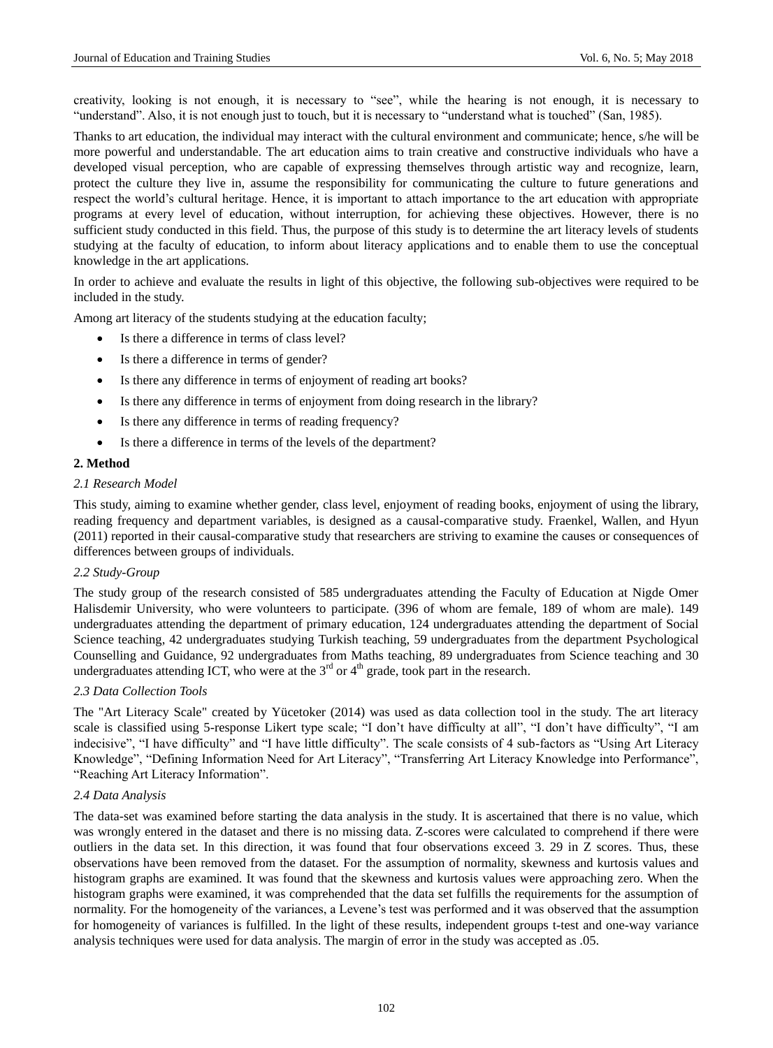creativity, looking is not enough, it is necessary to "see", while the hearing is not enough, it is necessary to "understand". Also, it is not enough just to touch, but it is necessary to "understand what is touched" (San, 1985).

Thanks to art education, the individual may interact with the cultural environment and communicate; hence, s/he will be more powerful and understandable. The art education aims to train creative and constructive individuals who have a developed visual perception, who are capable of expressing themselves through artistic way and recognize, learn, protect the culture they live in, assume the responsibility for communicating the culture to future generations and respect the world's cultural heritage. Hence, it is important to attach importance to the art education with appropriate programs at every level of education, without interruption, for achieving these objectives. However, there is no sufficient study conducted in this field. Thus, the purpose of this study is to determine the art literacy levels of students studying at the faculty of education, to inform about literacy applications and to enable them to use the conceptual knowledge in the art applications.

In order to achieve and evaluate the results in light of this objective, the following sub-objectives were required to be included in the study.

Among art literacy of the students studying at the education faculty;

- Is there a difference in terms of class level?
- Is there a difference in terms of gender?
- Is there any difference in terms of enjoyment of reading art books?
- Is there any difference in terms of enjoyment from doing research in the library?
- Is there any difference in terms of reading frequency?
- Is there a difference in terms of the levels of the department?

## **2. Method**

#### *2.1 Research Model*

This study, aiming to examine whether gender, class level, enjoyment of reading books, enjoyment of using the library, reading frequency and department variables, is designed as a causal-comparative study. Fraenkel, Wallen, and Hyun (2011) reported in their causal-comparative study that researchers are striving to examine the causes or consequences of differences between groups of individuals.

## *2.2 Study-Group*

The study group of the research consisted of 585 undergraduates attending the Faculty of Education at Nigde Omer Halisdemir University, who were volunteers to participate. (396 of whom are female, 189 of whom are male). 149 undergraduates attending the department of primary education, 124 undergraduates attending the department of Social Science teaching, 42 undergraduates studying Turkish teaching, 59 undergraduates from the department Psychological Counselling and Guidance, 92 undergraduates from Maths teaching, 89 undergraduates from Science teaching and 30 undergraduates attending ICT, who were at the  $3<sup>rd</sup>$  or  $4<sup>th</sup>$  grade, took part in the research.

## *2.3 Data Collection Tools*

The "Art Literacy Scale" created by Yücetoker (2014) was used as data collection tool in the study. The art literacy scale is classified using 5-response Likert type scale; "I don't have difficulty at all", "I don't have difficulty", "I am indecisive", "I have difficulty" and "I have little difficulty". The scale consists of 4 sub-factors as "Using Art Literacy Knowledge", "Defining Information Need for Art Literacy", "Transferring Art Literacy Knowledge into Performance", "Reaching Art Literacy Information".

#### *2.4 Data Analysis*

The data-set was examined before starting the data analysis in the study. It is ascertained that there is no value, which was wrongly entered in the dataset and there is no missing data. Z-scores were calculated to comprehend if there were outliers in the data set. In this direction, it was found that four observations exceed 3. 29 in Z scores. Thus, these observations have been removed from the dataset. For the assumption of normality, skewness and kurtosis values and histogram graphs are examined. It was found that the skewness and kurtosis values were approaching zero. When the histogram graphs were examined, it was comprehended that the data set fulfills the requirements for the assumption of normality. For the homogeneity of the variances, a Levene's test was performed and it was observed that the assumption for homogeneity of variances is fulfilled. In the light of these results, independent groups t-test and one-way variance analysis techniques were used for data analysis. The margin of error in the study was accepted as .05.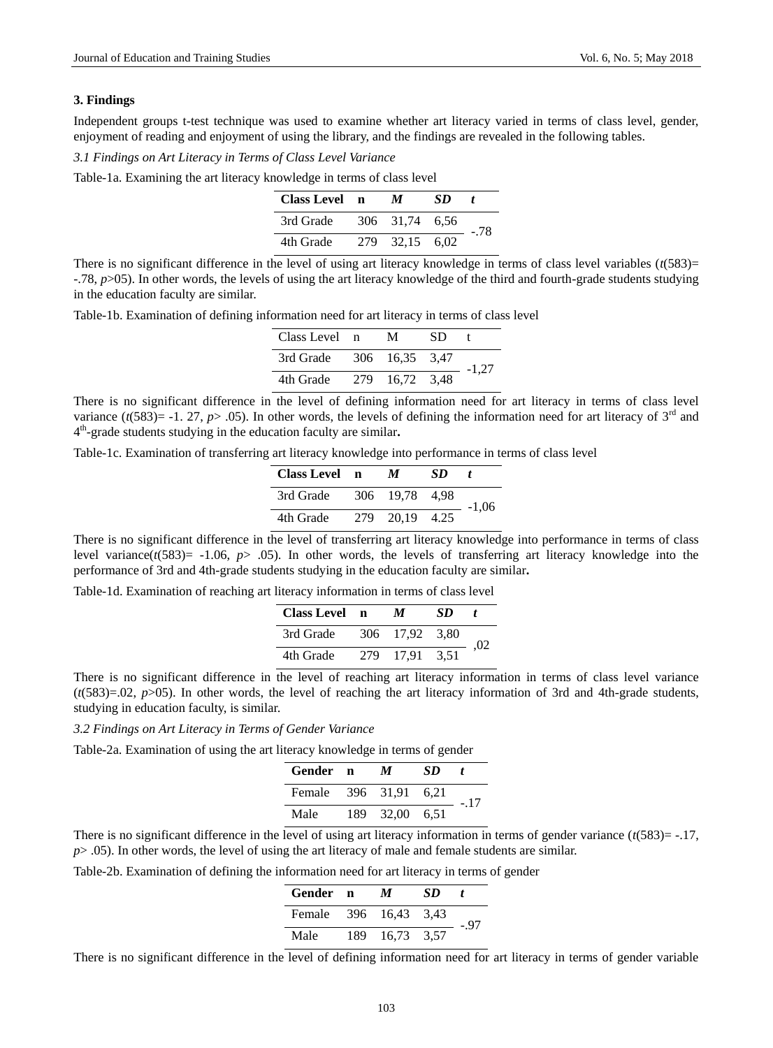#### **3. Findings**

Independent groups t-test technique was used to examine whether art literacy varied in terms of class level, gender, enjoyment of reading and enjoyment of using the library, and the findings are revealed in the following tables.

*3.1 Findings on Art Literacy in Terms of Class Level Variance*

Table-1a. Examining the art literacy knowledge in terms of class level

| <b>Class Level</b> | n | M              | SD. |      |
|--------------------|---|----------------|-----|------|
| 3rd Grade          |   | 306 31.74 6.56 |     | - 78 |
| 4th Grade          |   | 279 32.15 6.02 |     |      |

There is no significant difference in the level of using art literacy knowledge in terms of class level variables  $(t(583)=$ -.78, *p*>05). In other words, the levels of using the art literacy knowledge of the third and fourth-grade students studying in the education faculty are similar.

Table-1b. Examination of defining information need for art literacy in terms of class level

| Class Level n            |     | М          | SD |         |  |
|--------------------------|-----|------------|----|---------|--|
| 3rd Grade 306 16,35 3,47 |     |            |    | $-1.27$ |  |
| 4th Grade                | 279 | 16.72 3.48 |    |         |  |

There is no significant difference in the level of defining information need for art literacy in terms of class level variance  $(t(583)= -1.27, p> .05)$ . In other words, the levels of defining the information need for art literacy of 3<sup>rd</sup> and 4 th -grade students studying in the education faculty are similar**.** 

Table-1c. Examination of transferring art literacy knowledge into performance in terms of class level

| Class Level n |     | M              | SD |         |  |
|---------------|-----|----------------|----|---------|--|
| 3rd Grade     |     | 306 19.78 4.98 |    | $-1.06$ |  |
| 4th Grade     | 279 | 20,19 4.25     |    |         |  |

There is no significant difference in the level of transferring art literacy knowledge into performance in terms of class level variance( $t$ (583) = -1.06,  $p$  > .05). In other words, the levels of transferring art literacy knowledge into the performance of 3rd and 4th-grade students studying in the education faculty are similar**.**

Table-1d. Examination of reaching art literacy information in terms of class level

| Class Level n |     | М              | SD |     |
|---------------|-----|----------------|----|-----|
| 3rd Grade     |     | 306 17.92 3.80 |    | .02 |
| 4th Grade     | 279 | 17.91 3.51     |    |     |

There is no significant difference in the level of reaching art literacy information in terms of class level variance  $(t(583)=02, p>05)$ . In other words, the level of reaching the art literacy information of 3rd and 4th-grade students, studying in education faculty, is similar.

*3.2 Findings on Art Literacy in Terms of Gender Variance*

Table-2a. Examination of using the art literacy knowledge in terms of gender

| Gender n              |      | М          | SD | t    |
|-----------------------|------|------------|----|------|
| Female 396 31.91 6.21 |      |            |    | - 17 |
| Male                  | 189. | 32,00 6.51 |    |      |

There is no significant difference in the level of using art literacy information in terms of gender variance  $(t(583) = -17$ , *p*> .05). In other words, the level of using the art literacy of male and female students are similar.

Table-2b. Examination of defining the information need for art literacy in terms of gender

| Gender n              |      | M          | SD. |      |
|-----------------------|------|------------|-----|------|
| Female 396 16,43 3,43 |      |            |     | -.97 |
| Male                  | 189. | 16.73 3.57 |     |      |

There is no significant difference in the level of defining information need for art literacy in terms of gender variable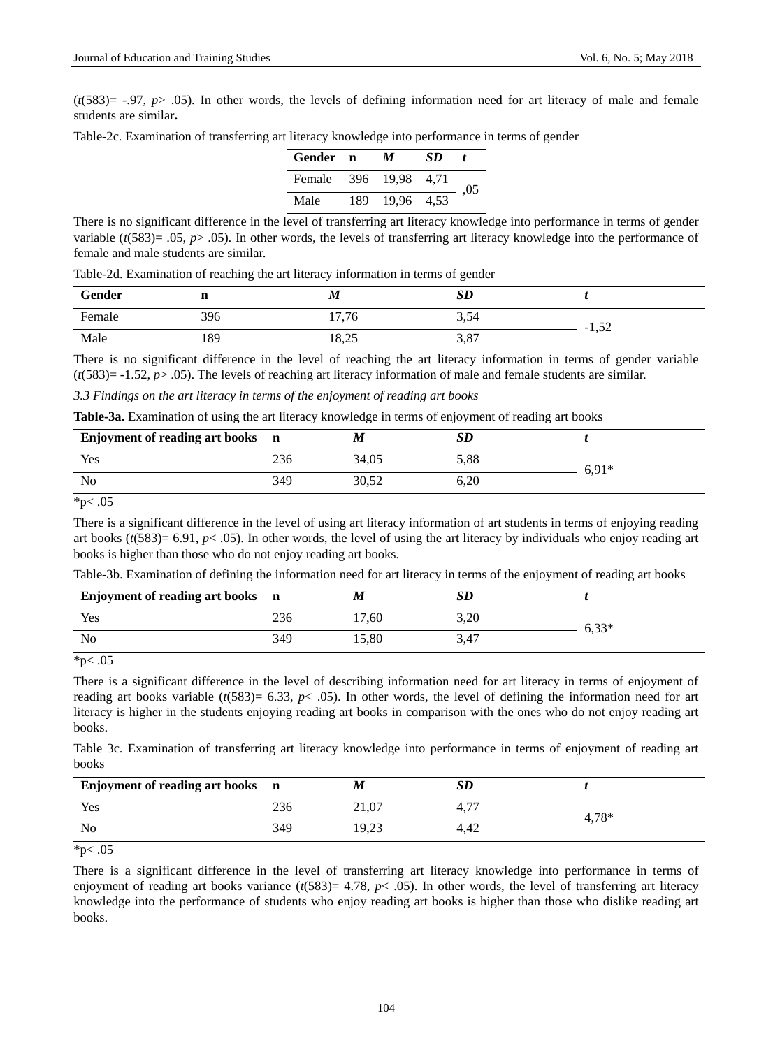$(t/583) = -0.97$ ,  $p > 0.05$ ). In other words, the levels of defining information need for art literacy of male and female students are similar**.**

| Table-2c. Examination of transferring art literacy knowledge into performance in terms of gender |  |  |  |  |  |  |  |
|--------------------------------------------------------------------------------------------------|--|--|--|--|--|--|--|
|--------------------------------------------------------------------------------------------------|--|--|--|--|--|--|--|

| Gender n |      | M              | SD |     |
|----------|------|----------------|----|-----|
| Female   |      | 396 19.98 4.71 |    | .05 |
| Male     | 189. | 19,96 4,53     |    |     |

There is no significant difference in the level of transferring art literacy knowledge into performance in terms of gender variable  $(t(583)=.05, p> .05)$ . In other words, the levels of transferring art literacy knowledge into the performance of female and male students are similar.

|        |     | Twere you Enforcement of reaching the arc meracy information in terms of geneer |      |         |  |
|--------|-----|---------------------------------------------------------------------------------|------|---------|--|
| Gender |     | M                                                                               | SD   |         |  |
| Female | 396 | 17,76                                                                           | 3,54 | $-1,52$ |  |
| Male   | 189 | 18,25                                                                           | 3,87 |         |  |

Table-2d. Examination of reaching the art literacy information in terms of gender

There is no significant difference in the level of reaching the art literacy information in terms of gender variable  $(t(583) = -1.52, p > .05)$ . The levels of reaching art literacy information of male and female students are similar.

#### *3.3 Findings on the art literacy in terms of the enjoyment of reading art books*

|  |  |  |  | Table-3a. Examination of using the art literacy knowledge in terms of enjoyment of reading art books |  |  |
|--|--|--|--|------------------------------------------------------------------------------------------------------|--|--|
|--|--|--|--|------------------------------------------------------------------------------------------------------|--|--|

| Enjoyment of reading art books n |     | M     | SD   |         |  |
|----------------------------------|-----|-------|------|---------|--|
| Yes                              | 236 | 34,05 | 5,88 | $6.91*$ |  |
| No                               | 349 | 30,52 | 6.20 |         |  |

 $*p$  < .05

There is a significant difference in the level of using art literacy information of art students in terms of enjoying reading art books ( $t$ (583) = 6.91,  $p$ < .05). In other words, the level of using the art literacy by individuals who enjoy reading art books is higher than those who do not enjoy reading art books.

| Table-3b. Examination of defining the information need for art literacy in terms of the enjoyment of reading art books |  |  |
|------------------------------------------------------------------------------------------------------------------------|--|--|
|------------------------------------------------------------------------------------------------------------------------|--|--|

| Enjoyment of reading art books n |     |       | <b>SD</b> |         |
|----------------------------------|-----|-------|-----------|---------|
| Yes                              | 236 | 17.60 | 3,20      | $6,33*$ |
| No                               | 349 | 15.80 | 3,47      |         |

 $*p$  < .05

There is a significant difference in the level of describing information need for art literacy in terms of enjoyment of reading art books variable  $(t(583)= 6.33, p< .05)$ . In other words, the level of defining the information need for art literacy is higher in the students enjoying reading art books in comparison with the ones who do not enjoy reading art books.

Table 3c. Examination of transferring art literacy knowledge into performance in terms of enjoyment of reading art books

| Enjoyment of reading art books n |     | M     | SD                                |         |
|----------------------------------|-----|-------|-----------------------------------|---------|
| Yes                              | 236 | 21,07 | $\overline{\phantom{a}}$<br>4, 1. | $4,78*$ |
| No                               | 349 | 19.23 | 4.42                              |         |
|                                  |     |       |                                   |         |

\*p $< .05$ 

There is a significant difference in the level of transferring art literacy knowledge into performance in terms of enjoyment of reading art books variance  $(t(583)= 4.78, p< .05)$ . In other words, the level of transferring art literacy knowledge into the performance of students who enjoy reading art books is higher than those who dislike reading art books.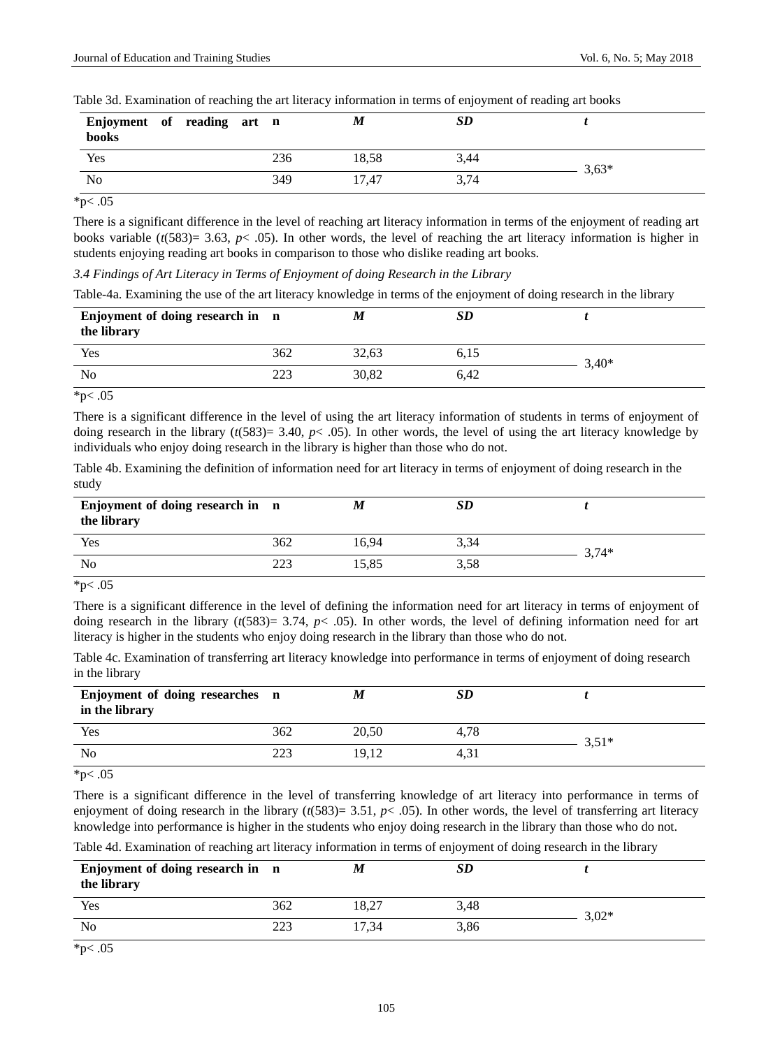| Enjoyment of reading art n<br>books |  |     | M     | SD   |         |
|-------------------------------------|--|-----|-------|------|---------|
| Yes                                 |  | 236 | 18,58 | 3,44 | $3,63*$ |
| No                                  |  | 349 | 17.47 | 3,74 |         |

Table 3d. Examination of reaching the art literacy information in terms of enjoyment of reading art books

 $*p$  < .05

There is a significant difference in the level of reaching art literacy information in terms of the enjoyment of reading art books variable  $(t(583)=3.63, p<.05)$ . In other words, the level of reaching the art literacy information is higher in students enjoying reading art books in comparison to those who dislike reading art books.

*3.4 Findings of Art Literacy in Terms of Enjoyment of doing Research in the Library*

Table-4a. Examining the use of the art literacy knowledge in terms of the enjoyment of doing research in the library

| Enjoyment of doing research in n<br>the library |     | M     | <b>SD</b> |         |
|-------------------------------------------------|-----|-------|-----------|---------|
| Yes                                             | 362 | 32.63 | 6,15      | $3.40*$ |
| N <sub>o</sub>                                  | 223 | 30.82 | 6.42      |         |

\*p $< .05$ 

There is a significant difference in the level of using the art literacy information of students in terms of enjoyment of doing research in the library  $(t(583)= 3.40, p< .05)$ . In other words, the level of using the art literacy knowledge by individuals who enjoy doing research in the library is higher than those who do not.

Table 4b. Examining the definition of information need for art literacy in terms of enjoyment of doing research in the study

| Enjoyment of doing research in n<br>the library |     |       | <b>SD</b> |         |
|-------------------------------------------------|-----|-------|-----------|---------|
| Yes                                             | 362 | 16.94 | 3,34      | $3.74*$ |
| No                                              | 223 | 15,85 | 3,58      |         |

 $*p$  < .05

There is a significant difference in the level of defining the information need for art literacy in terms of enjoyment of doing research in the library (*t*(583)= 3.74, *p*< .05). In other words, the level of defining information need for art literacy is higher in the students who enjoy doing research in the library than those who do not.

Table 4c. Examination of transferring art literacy knowledge into performance in terms of enjoyment of doing research in the library

| Enjoyment of doing researches n<br>in the library |     | IИ    | SD   |         |
|---------------------------------------------------|-----|-------|------|---------|
| Yes                                               | 362 | 20.50 | 4,78 | $3,51*$ |
| No                                                | 223 | 19.12 | 4,31 |         |

 $*p$  < .05

There is a significant difference in the level of transferring knowledge of art literacy into performance in terms of enjoyment of doing research in the library  $(t(583)= 3.51, p< .05)$ . In other words, the level of transferring art literacy knowledge into performance is higher in the students who enjoy doing research in the library than those who do not.

Table 4d. Examination of reaching art literacy information in terms of enjoyment of doing research in the library

| Enjoyment of doing research in n<br>the library |     | М     | <b>SD</b> |         |
|-------------------------------------------------|-----|-------|-----------|---------|
| Yes                                             | 362 | 18.27 | 3,48      | $3.02*$ |
| No                                              | 223 | 17.34 | 3,86      |         |

\*p $< .05$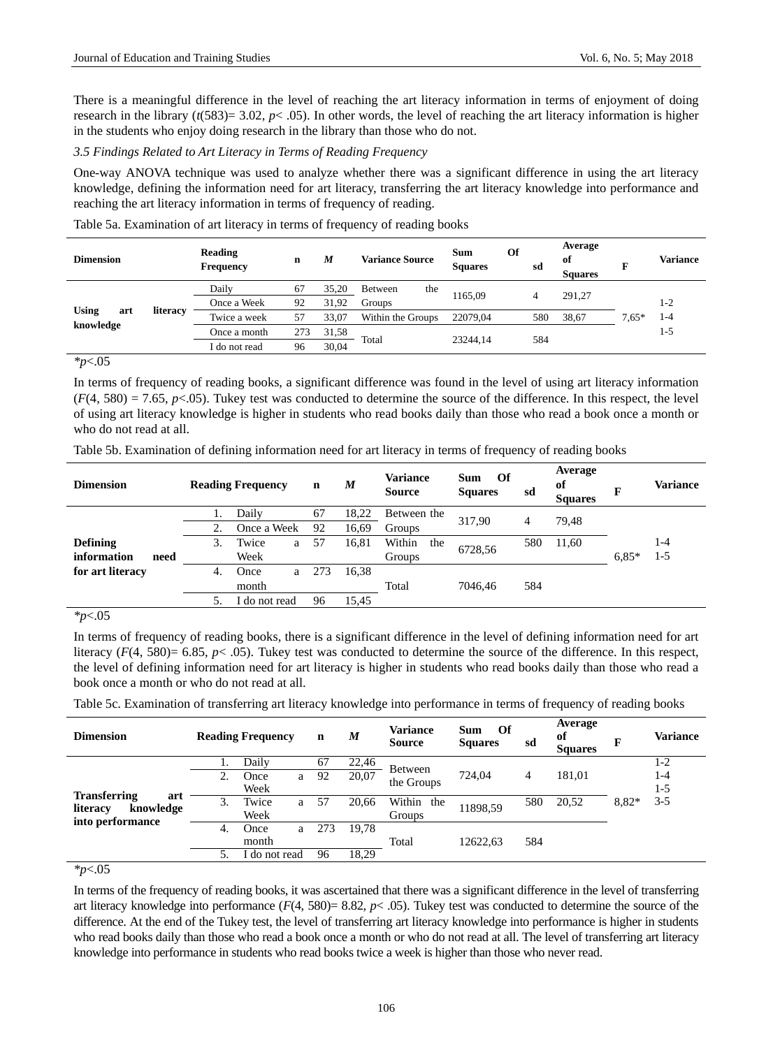There is a meaningful difference in the level of reaching the art literacy information in terms of enjoyment of doing research in the library ( $t(583)=3.02$ ,  $p<-0.05$ ). In other words, the level of reaching the art literacy information is higher in the students who enjoy doing research in the library than those who do not.

## *3.5 Findings Related to Art Literacy in Terms of Reading Frequency*

One-way ANOVA technique was used to analyze whether there was a significant difference in using the art literacy knowledge, defining the information need for art literacy, transferring the art literacy knowledge into performance and reaching the art literacy information in terms of frequency of reading.

|                                                                                                                                                | <b>Variance</b> |
|------------------------------------------------------------------------------------------------------------------------------------------------|-----------------|
| Daily<br>35.20<br>67<br>the<br><b>Between</b><br>1165.09<br>291.27<br>4                                                                        |                 |
| 1-2<br>31.92<br>92<br>Groups<br>Once a Week                                                                                                    |                 |
| <b>Using</b><br>literacy<br>art<br>1-4<br>Twice a week<br>$7.65*$<br>57<br>22079.04<br>580<br>38,67<br>33.07<br>Within the Groups<br>knowledge |                 |
| $1-5$<br>31,58<br>273<br>Once a month                                                                                                          |                 |
| Total<br>23244.14<br>584<br>30.04<br>96<br>í do not read                                                                                       |                 |

Table 5a. Examination of art literacy in terms of frequency of reading books

*\*p*<.05

In terms of frequency of reading books, a significant difference was found in the level of using art literacy information  $(F(4, 580) = 7.65, p<0.05)$ . Tukey test was conducted to determine the source of the difference. In this respect, the level of using art literacy knowledge is higher in students who read books daily than those who read a book once a month or who do not read at all.

|  |  |  |  | Table 5b. Examination of defining information need for art literacy in terms of frequency of reading books |
|--|--|--|--|------------------------------------------------------------------------------------------------------------|
|  |  |  |  |                                                                                                            |

| <b>Dimension</b> |      | <b>Reading Frequency</b> |               |   | $\mathbf n$ | M     | <b>Variance</b><br><b>Source</b> | Of<br><b>Sum</b><br><b>Squares</b> | sd  | Average<br>of<br><b>Squares</b> | F       | Variance |
|------------------|------|--------------------------|---------------|---|-------------|-------|----------------------------------|------------------------------------|-----|---------------------------------|---------|----------|
|                  |      |                          | Daily         |   | 67          | 18,22 | Between the                      | 317.90                             | 4   | 79.48                           |         |          |
|                  |      |                          | Once a Week   |   | 92          | 16,69 | Groups                           |                                    |     |                                 |         |          |
| <b>Defining</b>  |      | 3.                       | Twice         | a | 57          | 16,81 | Within<br>the                    | 6728,56                            | 580 | 11,60                           |         | 1-4      |
| information      | need |                          | Week          |   |             |       | Groups                           |                                    |     |                                 | $6.85*$ | $1 - 5$  |
| for art literacy |      | 4.                       | Once          | a | 273         | 16.38 |                                  |                                    |     |                                 |         |          |
|                  |      |                          | month         |   |             |       | Total                            | 7046.46                            | 584 |                                 |         |          |
|                  |      |                          | I do not read |   | 96          | 15.45 |                                  |                                    |     |                                 |         |          |

*\*p*<.05

In terms of frequency of reading books, there is a significant difference in the level of defining information need for art literacy (*F*(4, 580)= 6.85, *p*< .05). Tukey test was conducted to determine the source of the difference. In this respect, the level of defining information need for art literacy is higher in students who read books daily than those who read a book once a month or who do not read at all.

Table 5c. Examination of transferring art literacy knowledge into performance in terms of frequency of reading books

| <b>Dimension</b>      |    | <b>Reading Frequency</b> |   | $\mathbf n$ | M     | Variance<br><b>Source</b> | Of<br>Sum<br><b>Squares</b> | sd             | Average<br>of<br><b>Squares</b> | F     | <b>Variance</b> |
|-----------------------|----|--------------------------|---|-------------|-------|---------------------------|-----------------------------|----------------|---------------------------------|-------|-----------------|
|                       |    | Dailv                    |   | 67          | 22,46 | Between                   |                             |                |                                 |       | $1-2$           |
|                       | 2. | Once                     | a | 92          | 20,07 | the Groups                | 724.04                      | $\overline{4}$ | 181.01                          |       | $1 - 4$         |
| <b>Transferring</b>   |    | Week                     |   |             |       |                           |                             |                |                                 |       | $1-5$           |
| art                   | 3. | Twice                    | a | 57          | 20,66 | Within<br>the             | 11898,59                    | 580            | 20,52                           | 8,82* | $3 - 5$         |
| literacy<br>knowledge |    | Week                     |   |             |       | <b>Groups</b>             |                             |                |                                 |       |                 |
| into performance      | 4. | Once                     | a | 273         | 19.78 |                           |                             |                |                                 |       |                 |
|                       |    | month                    |   |             |       | Total                     | 12622.63                    | 584            |                                 |       |                 |
|                       |    | do not read              |   | 96          | 18.29 |                           |                             |                |                                 |       |                 |

*\*p*<.05

In terms of the frequency of reading books, it was ascertained that there was a significant difference in the level of transferring art literacy knowledge into performance  $(F(4, 580) = 8.82, p < .05)$ . Tukey test was conducted to determine the source of the difference. At the end of the Tukey test, the level of transferring art literacy knowledge into performance is higher in students who read books daily than those who read a book once a month or who do not read at all. The level of transferring art literacy knowledge into performance in students who read books twice a week is higher than those who never read.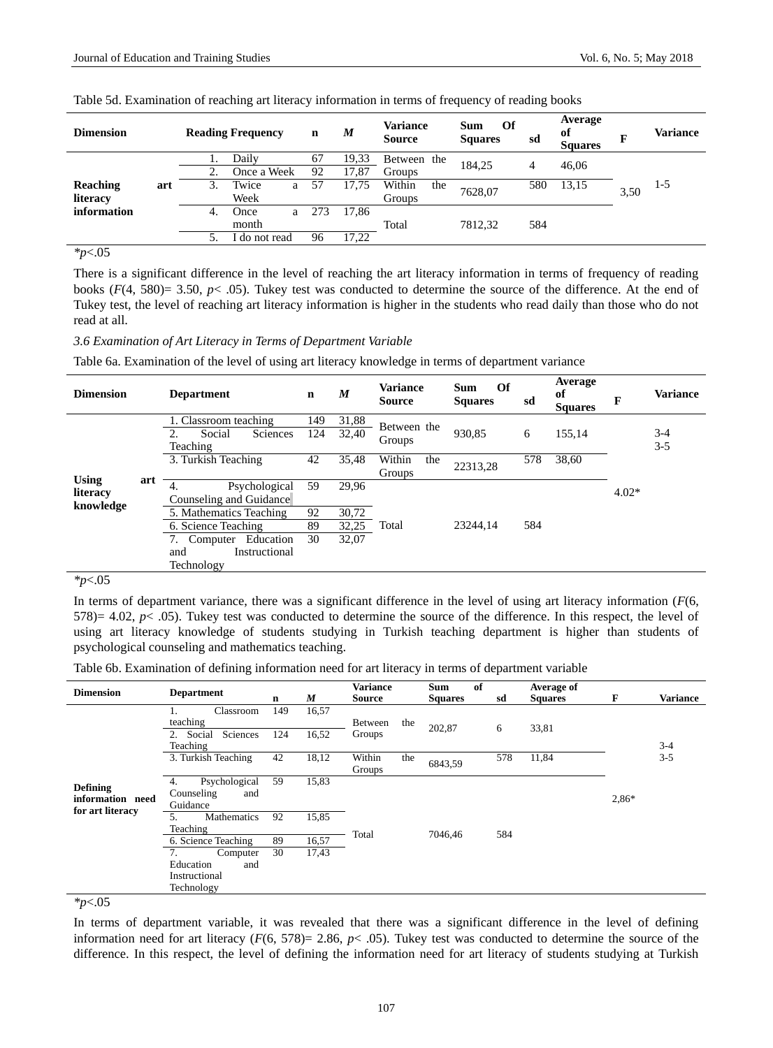| <b>Dimension</b> |     |    | <b>Reading Frequency</b> |   | n   | $\boldsymbol{M}$ | <b>Variance</b><br><b>Source</b> |     | Of<br><b>Sum</b><br><b>Squares</b> | sd  | Average<br>of<br><b>Squares</b> |  | <b>Variance</b> |
|------------------|-----|----|--------------------------|---|-----|------------------|----------------------------------|-----|------------------------------------|-----|---------------------------------|--|-----------------|
|                  |     |    | Daily                    |   | 67  | 19,33            | Between the                      |     | 184.25                             | 4   | 46,06<br>13,15<br>3,50          |  |                 |
|                  |     |    | Once a Week              |   | 92  | 17.87            | Groups                           |     |                                    |     |                                 |  |                 |
| Reaching         | art | 3. | Twice                    | a | 57  | 17,75            | Within                           | the | 7628,07                            | 580 |                                 |  | $1-5$           |
| literacy         |     |    | Week                     |   |     |                  | Groups                           |     |                                    |     |                                 |  |                 |
| information      |     | 4. | Once                     | a | 273 | 17.86            |                                  |     |                                    |     |                                 |  |                 |
|                  |     |    | month                    |   |     |                  | Total                            |     | 7812.32                            | 584 |                                 |  |                 |
|                  |     |    | do not read              |   | 96  | 17,22            |                                  |     |                                    |     |                                 |  |                 |

Table 5d. Examination of reaching art literacy information in terms of frequency of reading books

 $\frac{1}{2}$ *\*p* < 05

There is a significant difference in the level of reaching the art literacy information in terms of frequency of reading books  $(F(4, 580)= 3.50, p< .05)$ . Tukey test was conducted to determine the source of the difference. At the end of Tukey test, the level of reaching art literacy information is higher in the students who read daily than those who do not read at all.

*3.6 Examination of Art Literacy in Terms of Department Variable*

Table 6a. Examination of the level of using art literacy knowledge in terms of department variance

| <b>Dimension</b> |     | <b>Department</b>               | $\mathbf n$ | M     | <b>Variance</b><br><b>Source</b> | Of<br><b>Sum</b><br><b>Squares</b> | sd  | Average<br>of<br><b>Squares</b> | F       | <b>Variance</b> |
|------------------|-----|---------------------------------|-------------|-------|----------------------------------|------------------------------------|-----|---------------------------------|---------|-----------------|
|                  |     | 1. Classroom teaching           | 149         | 31,88 | Between the                      |                                    |     |                                 |         |                 |
|                  |     | Social<br><b>Sciences</b><br>2. | 124         | 32,40 | Groups                           | 930,85                             | 6   | 155,14                          |         | $3-4$           |
|                  |     | Teaching                        |             |       |                                  |                                    |     |                                 |         | $3 - 5$         |
|                  |     | 3. Turkish Teaching             | 42          | 35,48 | Within<br>the                    | 22313,28                           | 578 | 38,60                           |         |                 |
| <b>Using</b>     | art |                                 |             |       | Groups                           |                                    |     |                                 |         |                 |
| literacy         |     | Psychological<br>4.             | 59          | 29.96 |                                  |                                    |     |                                 | $4.02*$ |                 |
| knowledge        |     | Counseling and Guidance         |             |       |                                  |                                    |     |                                 |         |                 |
|                  |     | 5. Mathematics Teaching         | 92          | 30,72 |                                  |                                    |     |                                 |         |                 |
|                  |     | 6. Science Teaching             | 89          | 32,25 | Total                            | 23244.14                           | 584 |                                 |         |                 |
|                  |     | Education<br>7.<br>Computer     | 30          | 32.07 |                                  |                                    |     |                                 |         |                 |
|                  |     | Instructional<br>and            |             |       |                                  |                                    |     |                                 |         |                 |
|                  |     | Technology                      |             |       |                                  |                                    |     |                                 |         |                 |

*\*p*<.05

In terms of department variance, there was a significant difference in the level of using art literacy information (*F*(6, 578)= 4.02,  $p$ < .05). Tukey test was conducted to determine the source of the difference. In this respect, the level of using art literacy knowledge of students studying in Turkish teaching department is higher than students of psychological counseling and mathematics teaching.

Table 6b. Examination of defining information need for art literacy in terms of department variable

| <b>Dimension</b>                                        | <b>Department</b>                                                          | n           | $\boldsymbol{M}$ | <b>Variance</b><br><b>Source</b> |     | <b>Sum</b><br><b>Squares</b> | of | sd  | Average of<br><b>Squares</b> | F       | <b>Variance</b> |  |
|---------------------------------------------------------|----------------------------------------------------------------------------|-------------|------------------|----------------------------------|-----|------------------------------|----|-----|------------------------------|---------|-----------------|--|
|                                                         | Classroom<br>1.<br>teaching<br>2. Social<br>Sciences<br>Teaching           | 149<br>124  | 16,57<br>16,52   | Between<br>Groups                | the | 202,87                       |    | 6   | 33,81                        |         | $3 - 4$         |  |
|                                                         | 3. Turkish Teaching                                                        | 42<br>18,12 |                  | Within<br>Groups                 | the | 6843,59                      |    | 578 | 11,84                        |         | $3 - 5$         |  |
| <b>Defining</b><br>information need<br>for art literacy | Psychological<br>4.<br>Counseling<br>and<br>Guidance                       | 59          | 15,83            |                                  |     |                              |    |     |                              | $2,86*$ |                 |  |
|                                                         | 5.<br>Mathematics<br>Teaching                                              | 92          | 15,85            |                                  |     | 7046,46                      |    |     |                              |         |                 |  |
|                                                         | 6. Science Teaching<br>7.<br>Computer<br>Education<br>and<br>Instructional | 89<br>30    | 16,57<br>17,43   | Total                            |     |                              |    | 584 |                              |         |                 |  |
|                                                         | Technology                                                                 |             |                  |                                  |     |                              |    |     |                              |         |                 |  |

*\*p*<.05

In terms of department variable, it was revealed that there was a significant difference in the level of defining information need for art literacy  $(F(6, 578)) = 2.86$ ,  $p < .05$ ). Tukey test was conducted to determine the source of the difference. In this respect, the level of defining the information need for art literacy of students studying at Turkish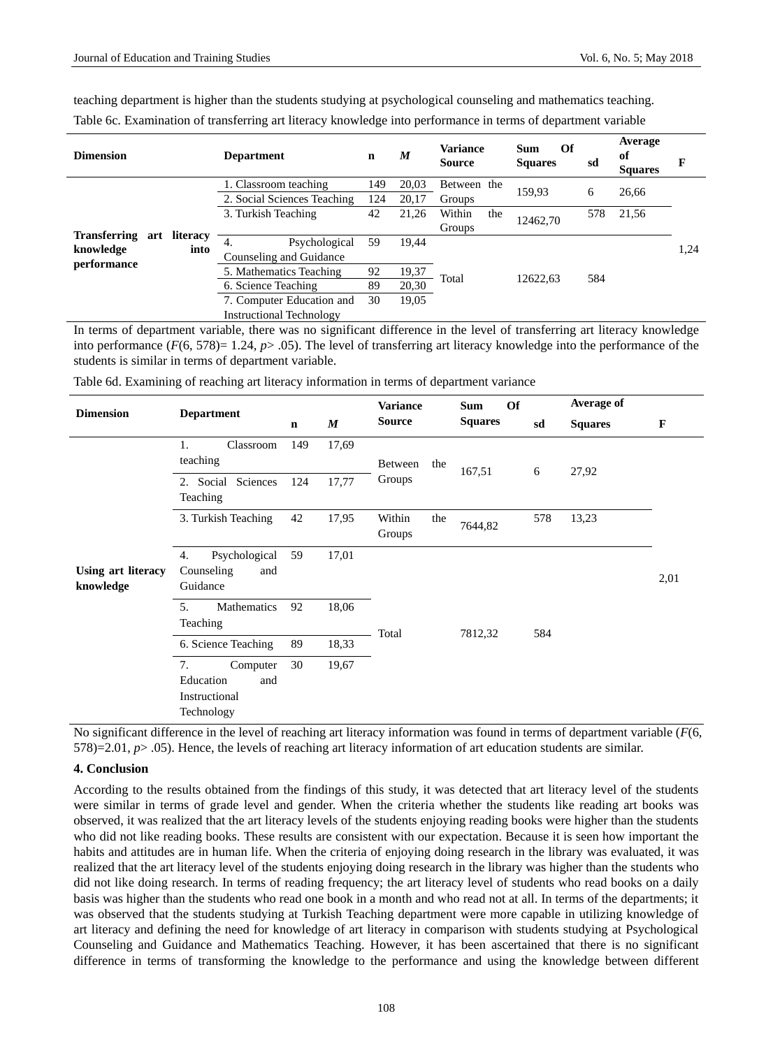| teaching department is higher than the students studying at psychological counseling and mathematics teaching. |  |
|----------------------------------------------------------------------------------------------------------------|--|
| Table 6c. Examination of transferring art literacy knowledge into performance in terms of department variable  |  |

| <b>Dimension</b>             | <b>Department</b><br>$\mathbf n$ |             |       |               | M        | <b>Variance</b><br><b>Source</b> | Of<br>Sum<br><b>Squares</b> | sd   | Average<br>of<br><b>Squares</b> | F |
|------------------------------|----------------------------------|-------------|-------|---------------|----------|----------------------------------|-----------------------------|------|---------------------------------|---|
|                              | 1. Classroom teaching            |             | 20,03 | Between the   | 159.93   | 6                                | 26,66                       |      |                                 |   |
|                              | 2. Social Sciences Teaching      | 124         | 20,17 | Groups        |          |                                  |                             |      |                                 |   |
|                              | 3. Turkish Teaching              | 42          | 21,26 | Within<br>the | 12462.70 | 578                              | 21,56                       |      |                                 |   |
| Transferring art<br>literacy |                                  |             |       | Groups        |          |                                  |                             |      |                                 |   |
| knowledge<br>into            | Psychological<br>59<br>4.        |             | 19.44 |               |          |                                  |                             | 1,24 |                                 |   |
| performance                  | Counseling and Guidance          |             |       |               |          |                                  |                             |      |                                 |   |
|                              | 5. Mathematics Teaching          | 92          | 19,37 | Total         | 12622.63 | 584                              |                             |      |                                 |   |
|                              | 6. Science Teaching              | 89<br>20,30 |       |               |          |                                  |                             |      |                                 |   |
|                              | 7. Computer Education and        | 30          | 19,05 |               |          |                                  |                             |      |                                 |   |
|                              | <b>Instructional Technology</b>  |             |       |               |          |                                  |                             |      |                                 |   |

In terms of department variable, there was no significant difference in the level of transferring art literacy knowledge into performance  $(F(6, 578)=1.24, p>0.05)$ . The level of transferring art literacy knowledge into the performance of the students is similar in terms of department variable.

| <b>Dimension</b>                       | <b>Department</b>                                                 |             |                  | <b>Variance</b>         |     | <b>Of</b><br><b>Sum</b> |     | Average of     |              |
|----------------------------------------|-------------------------------------------------------------------|-------------|------------------|-------------------------|-----|-------------------------|-----|----------------|--------------|
|                                        |                                                                   | $\mathbf n$ | $\boldsymbol{M}$ | <b>Source</b>           |     | <b>Squares</b>          | sd  | <b>Squares</b> | $\mathbf{F}$ |
|                                        | Classroom<br>1.<br>teaching                                       | 149         | 17,69            | Between                 | the | 167,51                  | 6   | 27,92          |              |
|                                        | 2. Social Sciences<br>Teaching                                    | 124         | 17,77            | Groups                  |     |                         |     |                |              |
|                                        | 3. Turkish Teaching                                               | 42          | 17,95            | Within<br>the<br>Groups |     | 7644,82                 | 578 | 13,23          |              |
| <b>Using art literacy</b><br>knowledge | Psychological<br>4.<br>Counseling<br>and<br>Guidance              | 59          | 17,01            |                         |     |                         |     |                | 2,01         |
|                                        | Mathematics<br>5.<br>Teaching                                     | 92          | 18,06            | Total                   |     | 7812,32                 | 584 |                |              |
|                                        | 6. Science Teaching                                               | 89          | 18,33            |                         |     |                         |     |                |              |
|                                        | 7.<br>Computer<br>Education<br>and<br>Instructional<br>Technology | 30          | 19,67            |                         |     |                         |     |                |              |

Table 6d. Examining of reaching art literacy information in terms of department variance

No significant difference in the level of reaching art literacy information was found in terms of department variable (*F*(6, 578)=2.01, *p*> .05). Hence, the levels of reaching art literacy information of art education students are similar.

## **4. Conclusion**

According to the results obtained from the findings of this study, it was detected that art literacy level of the students were similar in terms of grade level and gender. When the criteria whether the students like reading art books was observed, it was realized that the art literacy levels of the students enjoying reading books were higher than the students who did not like reading books. These results are consistent with our expectation. Because it is seen how important the habits and attitudes are in human life. When the criteria of enjoying doing research in the library was evaluated, it was realized that the art literacy level of the students enjoying doing research in the library was higher than the students who did not like doing research. In terms of reading frequency; the art literacy level of students who read books on a daily basis was higher than the students who read one book in a month and who read not at all. In terms of the departments; it was observed that the students studying at Turkish Teaching department were more capable in utilizing knowledge of art literacy and defining the need for knowledge of art literacy in comparison with students studying at Psychological Counseling and Guidance and Mathematics Teaching. However, it has been ascertained that there is no significant difference in terms of transforming the knowledge to the performance and using the knowledge between different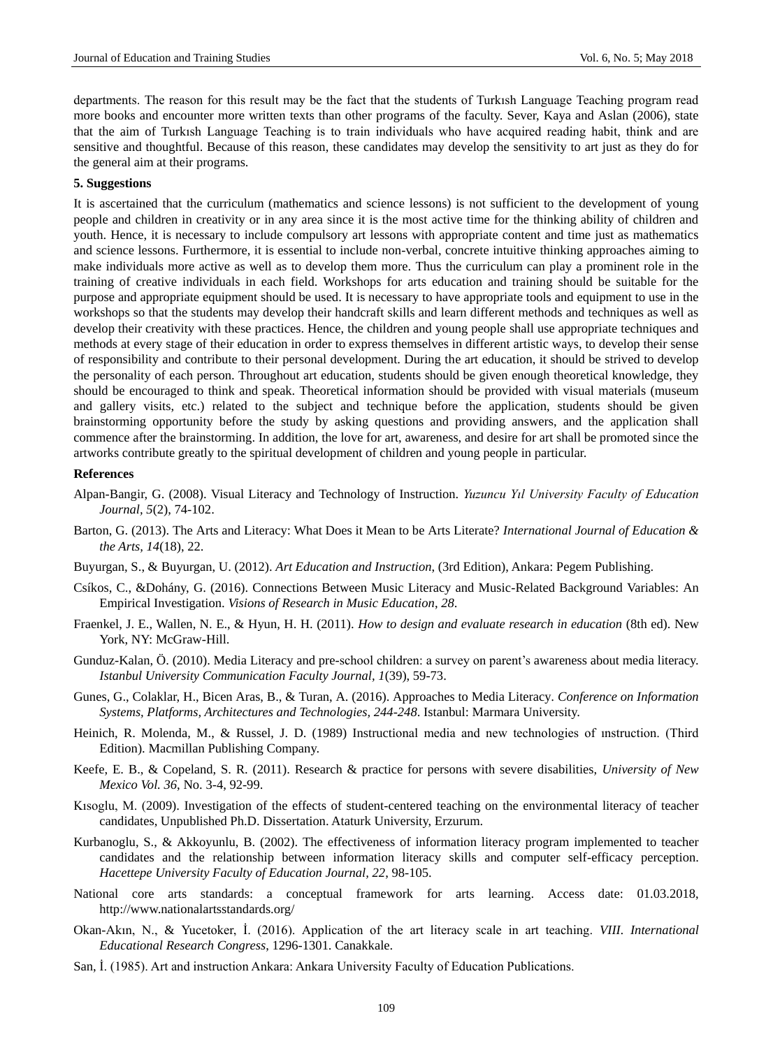departments. The reason for this result may be the fact that the students of Turkısh Language Teaching program read more books and encounter more written texts than other programs of the faculty. Sever, Kaya and Aslan (2006), state that the aim of Turkısh Language Teaching is to train individuals who have acquired reading habit, think and are sensitive and thoughtful. Because of this reason, these candidates may develop the sensitivity to art just as they do for the general aim at their programs.

#### **5. Suggestions**

It is ascertained that the curriculum (mathematics and science lessons) is not sufficient to the development of young people and children in creativity or in any area since it is the most active time for the thinking ability of children and youth. Hence, it is necessary to include compulsory art lessons with appropriate content and time just as mathematics and science lessons. Furthermore, it is essential to include non-verbal, concrete intuitive thinking approaches aiming to make individuals more active as well as to develop them more. Thus the curriculum can play a prominent role in the training of creative individuals in each field. Workshops for arts education and training should be suitable for the purpose and appropriate equipment should be used. It is necessary to have appropriate tools and equipment to use in the workshops so that the students may develop their handcraft skills and learn different methods and techniques as well as develop their creativity with these practices. Hence, the children and young people shall use appropriate techniques and methods at every stage of their education in order to express themselves in different artistic ways, to develop their sense of responsibility and contribute to their personal development. During the art education, it should be strived to develop the personality of each person. Throughout art education, students should be given enough theoretical knowledge, they should be encouraged to think and speak. Theoretical information should be provided with visual materials (museum and gallery visits, etc.) related to the subject and technique before the application, students should be given brainstorming opportunity before the study by asking questions and providing answers, and the application shall commence after the brainstorming. In addition, the love for art, awareness, and desire for art shall be promoted since the artworks contribute greatly to the spiritual development of children and young people in particular.

#### **References**

- Alpan-Bangir, G. (2008). Visual Literacy and Technology of Instruction. *Yuzuncu Yıl University Faculty of Education Journal, 5*(2), 74-102.
- Barton, G. (2013). The Arts and Literacy: What Does it Mean to be Arts Literate? *International Journal of Education & the Arts, 14*(18), 22.
- Buyurgan, S., & Buyurgan, U. (2012). *Art Education and Instruction*, (3rd Edition), Ankara: Pegem Publishing.
- Cs kos, C., &Dohány, G. (2016). Connections Between Music Literacy and Music-Related Background Variables: An Empirical Investigation. *Visions of Research in Music Education*, *28*.
- Fraenkel, J. E., Wallen, N. E., & Hyun, H. H. (2011). *How to design and evaluate research in education* (8th ed). New York, NY: McGraw-Hill.
- Gunduz-Kalan, Ö. (2010). Media Literacy and pre-school children: a survey on parent's awareness about media literacy. *Istanbul University Communication Faculty Journal, 1*(39), 59-73.
- Gunes, G., Colaklar, H., Bicen Aras, B., & Turan, A. (2016). Approaches to Media Literacy*. Conference on Information Systems, Platforms, Architectures and Technologies, 244-248*. Istanbul: Marmara University.
- Heinich, R. Molenda, M., & Russel, J. D. (1989) Instructional media and new technologies of ınstruction. (Third Edition). Macmillan Publishing Company.
- Keefe, E. B., & Copeland, S. R. (2011). Research & practice for persons with severe disabilities, *University of New Mexico Vol. 36*, No. 3-4, 92-99.
- Kısoglu, M. (2009). Investigation of the effects of student-centered teaching on the environmental literacy of teacher candidates, Unpublished Ph.D. Dissertation. Ataturk University, Erzurum.
- Kurbanoglu, S., & Akkoyunlu, B. (2002). The effectiveness of information literacy program implemented to teacher candidates and the relationship between information literacy skills and computer self-efficacy perception. *Hacettepe University Faculty of Education Journal, 22*, 98-105.
- National core arts standards: a conceptual framework for arts learning. Access date: 01.03.2018, http://www.nationalartsstandards.org/
- Okan-Akın, N., & Yucetoker, İ. (2016). Application of the art literacy scale in art teaching. *VIII. International Educational Research Congress*, 1296-1301. Canakkale.
- San, İ. (1985). Art and instruction Ankara: Ankara University Faculty of Education Publications.